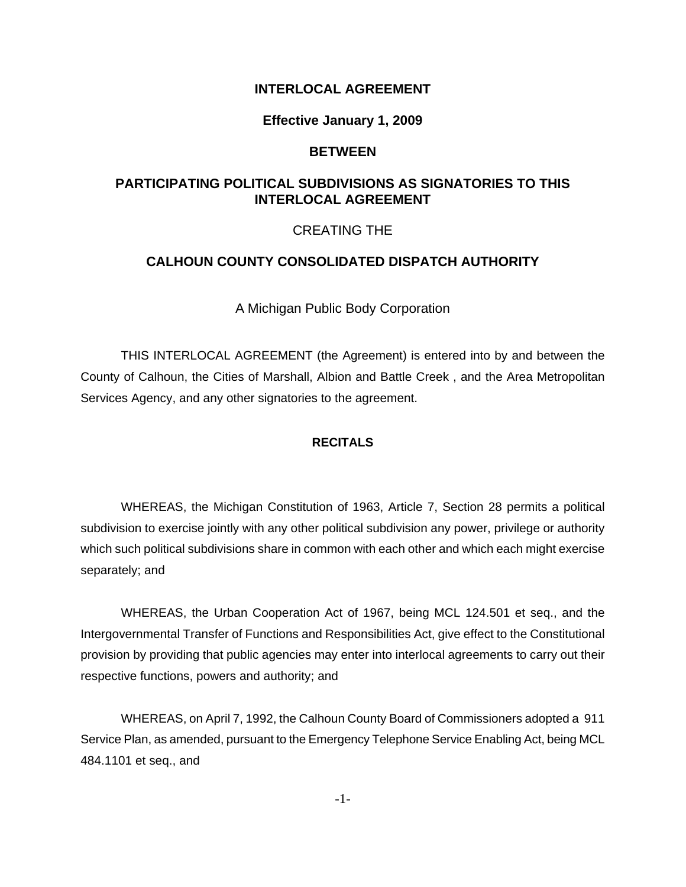#### **INTERLOCAL AGREEMENT**

#### **Effective January 1, 2009**

#### **BETWEEN**

### **PARTICIPATING POLITICAL SUBDIVISIONS AS SIGNATORIES TO THIS INTERLOCAL AGREEMENT**

#### CREATING THE

#### **CALHOUN COUNTY CONSOLIDATED DISPATCH AUTHORITY**

A Michigan Public Body Corporation

THIS INTERLOCAL AGREEMENT (the Agreement) is entered into by and between the County of Calhoun, the Cities of Marshall, Albion and Battle Creek , and the Area Metropolitan Services Agency, and any other signatories to the agreement.

#### **RECITALS**

WHEREAS, the Michigan Constitution of 1963, Article 7, Section 28 permits a political subdivision to exercise jointly with any other political subdivision any power, privilege or authority which such political subdivisions share in common with each other and which each might exercise separately; and

WHEREAS, the Urban Cooperation Act of 1967, being MCL 124.501 et seq., and the Intergovernmental Transfer of Functions and Responsibilities Act, give effect to the Constitutional provision by providing that public agencies may enter into interlocal agreements to carry out their respective functions, powers and authority; and

WHEREAS, on April 7, 1992, the Calhoun County Board of Commissioners adopted a 911 Service Plan, as amended, pursuant to the Emergency Telephone Service Enabling Act, being MCL 484.1101 et seq., and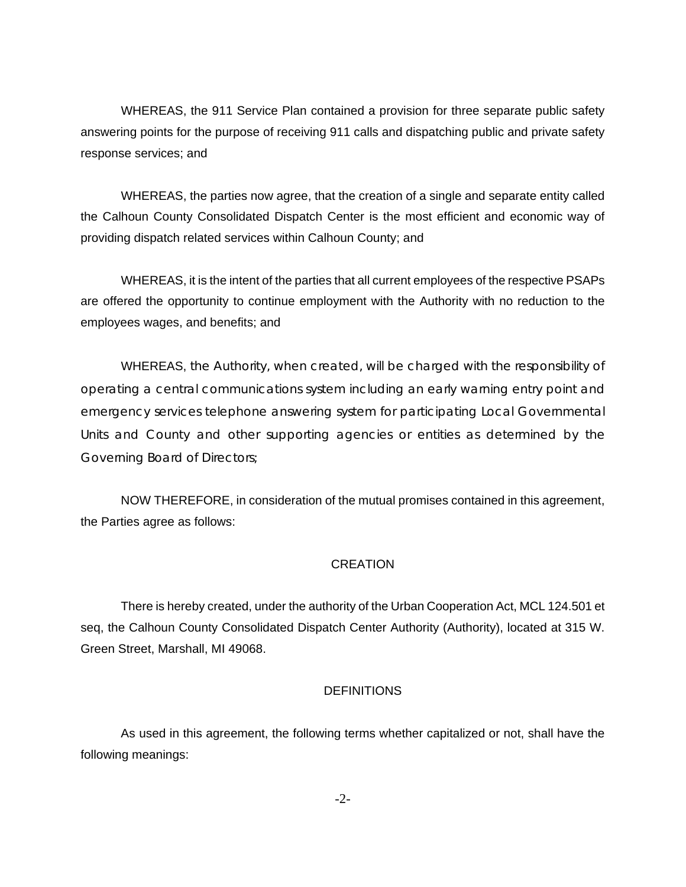WHEREAS, the 911 Service Plan contained a provision for three separate public safety answering points for the purpose of receiving 911 calls and dispatching public and private safety response services; and

WHEREAS, the parties now agree, that the creation of a single and separate entity called the Calhoun County Consolidated Dispatch Center is the most efficient and economic way of providing dispatch related services within Calhoun County; and

WHEREAS, it is the intent of the parties that all current employees of the respective PSAPs are offered the opportunity to continue employment with the Authority with no reduction to the employees wages, and benefits; and

WHEREAS, the Authority, when created, will be charged with the responsibility of operating a central communications system including an early warning entry point and emergency services telephone answering system for participating Local Governmental Units and County and other supporting agencies or entities as determined by the Governing Board of Directors;

NOW THEREFORE, in consideration of the mutual promises contained in this agreement, the Parties agree as follows:

#### **CREATION**

There is hereby created, under the authority of the Urban Cooperation Act, MCL 124.501 et seq, the Calhoun County Consolidated Dispatch Center Authority (Authority), located at 315 W. Green Street, Marshall, MI 49068.

#### **DEFINITIONS**

As used in this agreement, the following terms whether capitalized or not, shall have the following meanings: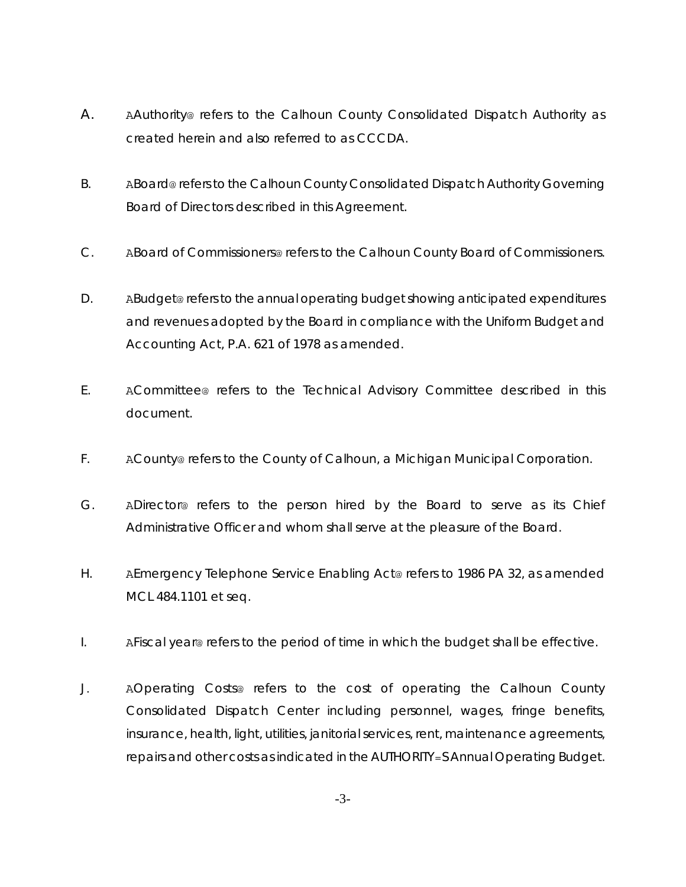- A. AAuthority@ refers to the Calhoun County Consolidated Dispatch Authority as created herein and also referred to as CCCDA.
- B. ABoard@ refers to the Calhoun County Consolidated Dispatch Authority Governing Board of Directors described in this Agreement.
- C. ABoard of Commissioners@ refers to the Calhoun County Board of Commissioners.
- D. ABudget@ refers to the annual operating budget showing anticipated expenditures and revenues adopted by the Board in compliance with the Uniform Budget and Accounting Act, P.A. 621 of 1978 as amended.
- E. ACommittee@ refers to the Technical Advisory Committee described in this document.
- F. ACounty@ refers to the County of Calhoun, a Michigan Municipal Corporation.
- G. ADirector@ refers to the person hired by the Board to serve as its Chief Administrative Officer and whom shall serve at the pleasure of the Board.
- H. AEmergency Telephone Service Enabling Act@ refers to 1986 PA 32, as amended MCL 484.1101 et seq.
- I. AFiscal year@ refers to the period of time in which the budget shall be effective.
- J. AOperating Costs@ refers to the cost of operating the Calhoun County Consolidated Dispatch Center including personnel, wages, fringe benefits, insurance, health, light, utilities, janitorial services, rent, maintenance agreements, repairs and other costs as indicated in the AUTHORITY=S Annual Operating Budget.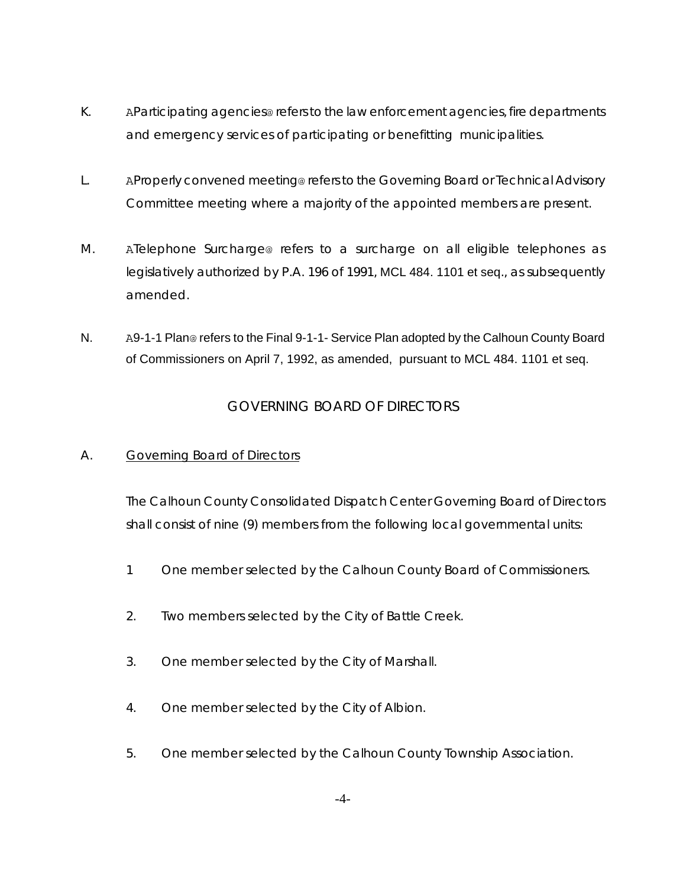- K. AParticipating agencies@ refers to the law enforcement agencies, fire departments and emergency services of participating or benefitting municipalities.
- L. AProperly convened meeting@ refers to the Governing Board or Technical Advisory Committee meeting where a majority of the appointed members are present.
- M. ATelephone Surcharge@ refers to a surcharge on all eligible telephones as legislatively authorized by P.A. 196 of 1991, MCL 484. 1101 et seq., as subsequently amended.
- N. A9-1-1 Plan@ refers to the Final 9-1-1- Service Plan adopted by the Calhoun County Board of Commissioners on April 7, 1992, as amended, pursuant to MCL 484. 1101 et seq.

# GOVERNING BOARD OF DIRECTORS

## A. Governing Board of Directors

The Calhoun County Consolidated Dispatch Center Governing Board of Directors shall consist of nine (9) members from the following local governmental units:

- 1 One member selected by the Calhoun County Board of Commissioners.
- 2. Two members selected by the City of Battle Creek.
- 3. One member selected by the City of Marshall.
- 4. One member selected by the City of Albion.
- 5. One member selected by the Calhoun County Township Association.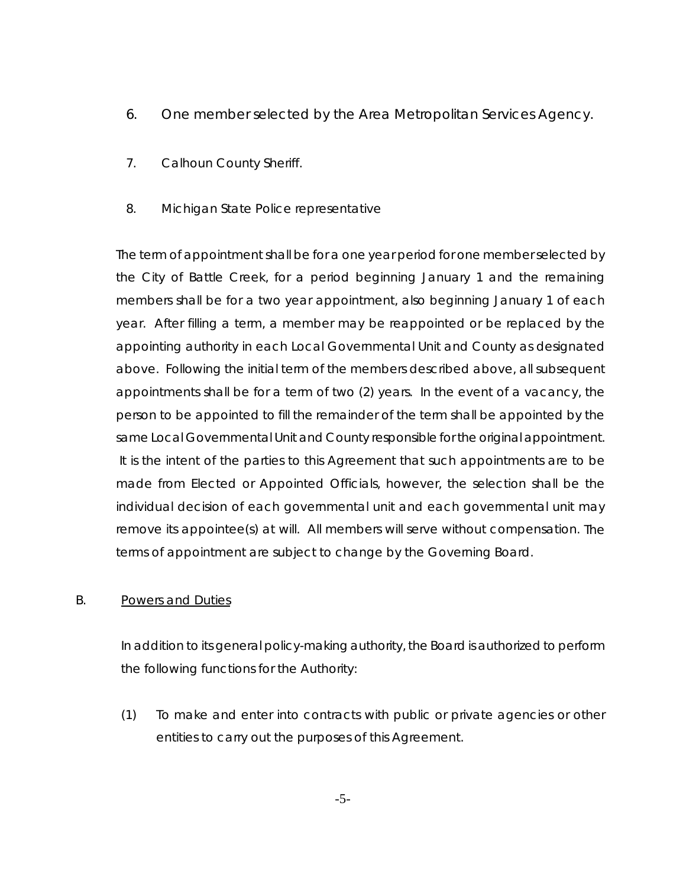- 6. One member selected by the Area Metropolitan Services Agency.
- 7. Calhoun County Sheriff.
- 8. Michigan State Police representative

The term of appointment shall be for a one year period for one member selected by the City of Battle Creek, for a period beginning January 1 and the remaining members shall be for a two year appointment, also beginning January 1 of each year. After filling a term, a member may be reappointed or be replaced by the appointing authority in each Local Governmental Unit and County as designated above. Following the initial term of the members described above, all subsequent appointments shall be for a term of two (2) years. In the event of a vacancy, the person to be appointed to fill the remainder of the term shall be appointed by the same Local Governmental Unit and County responsible for the original appointment. It is the intent of the parties to this Agreement that such appointments are to be made from Elected or Appointed Officials, however, the selection shall be the individual decision of each governmental unit and each governmental unit may remove its appointee(s) at will. All members will serve without compensation. The terms of appointment are subject to change by the Governing Board.

## B. Powers and Duties

In addition to its general policy-making authority, the Board is authorized to perform the following functions for the Authority:

(1) To make and enter into contracts with public or private agencies or other entities to carry out the purposes of this Agreement.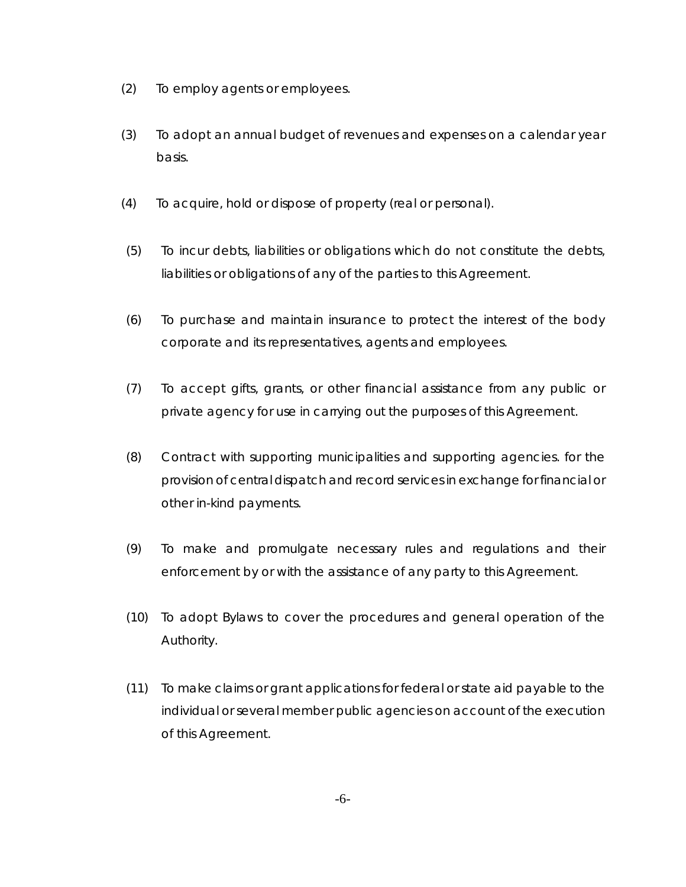- (2) To employ agents or employees.
- (3) To adopt an annual budget of revenues and expenses on a calendar year basis.
- (4) To acquire, hold or dispose of property (real or personal).
- (5) To incur debts, liabilities or obligations which do not constitute the debts, liabilities or obligations of any of the parties to this Agreement.
- (6) To purchase and maintain insurance to protect the interest of the body corporate and its representatives, agents and employees.
- (7) To accept gifts, grants, or other financial assistance from any public or private agency for use in carrying out the purposes of this Agreement.
- (8) Contract with supporting municipalities and supporting agencies. for the provision of central dispatch and record services in exchange for financial or other in-kind payments.
- (9) To make and promulgate necessary rules and regulations and their enforcement by or with the assistance of any party to this Agreement.
- (10) To adopt Bylaws to cover the procedures and general operation of the Authority.
- (11) To make claims or grant applications for federal or state aid payable to the individual or several member public agencies on account of the execution of this Agreement.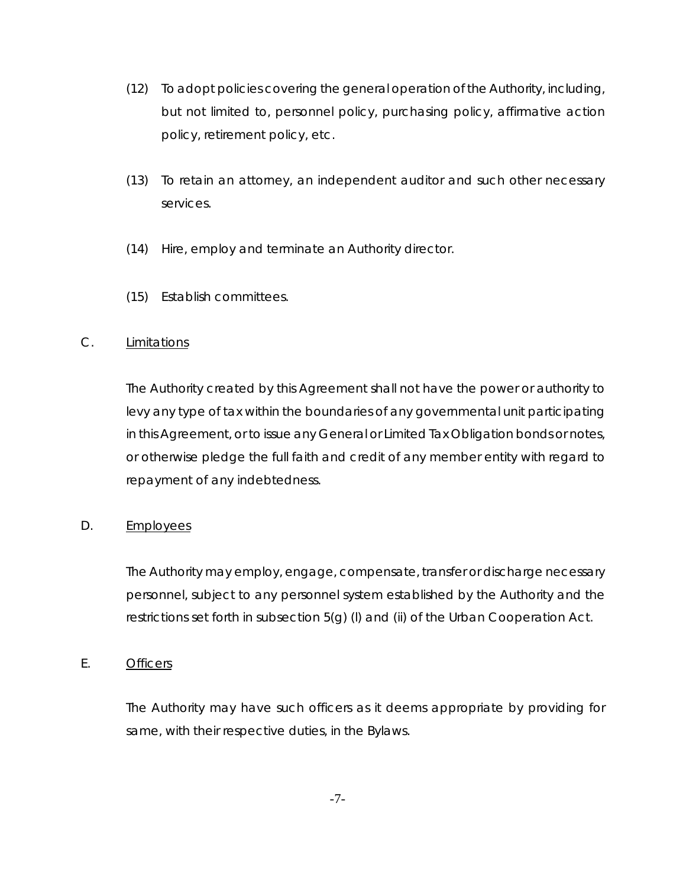- (12) To adopt policies covering the general operation of the Authority, including, but not limited to, personnel policy, purchasing policy, affirmative action policy, retirement policy, etc.
- (13) To retain an attorney, an independent auditor and such other necessary services.
- (14) Hire, employ and terminate an Authority director.
- (15) Establish committees.

## C. Limitations

The Authority created by this Agreement shall not have the power or authority to levy any type of tax within the boundaries of any governmental unit participating in this Agreement, or to issue any General or Limited Tax Obligation bonds or notes, or otherwise pledge the full faith and credit of any member entity with regard to repayment of any indebtedness.

# D. Employees

The Authority may employ, engage, compensate, transfer or discharge necessary personnel, subject to any personnel system established by the Authority and the restrictions set forth in subsection 5(g) (l) and (ii) of the Urban Cooperation Act.

## E. Officers

The Authority may have such officers as it deems appropriate by providing for same, with their respective duties, in the Bylaws.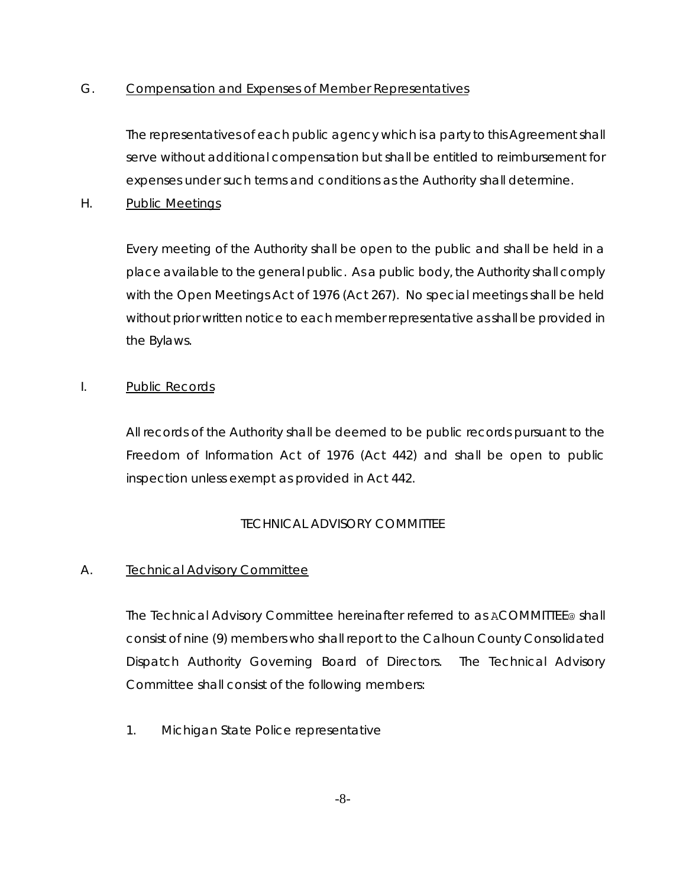## G. Compensation and Expenses of Member Representatives

The representatives of each public agency which is a party to this Agreement shall serve without additional compensation but shall be entitled to reimbursement for expenses under such terms and conditions as the Authority shall determine.

H. Public Meetings

Every meeting of the Authority shall be open to the public and shall be held in a place available to the general public. As a public body, the Authority shall comply with the Open Meetings Act of 1976 (Act 267). No special meetings shall be held without prior written notice to each member representative as shall be provided in the Bylaws.

## I. Public Records

All records of the Authority shall be deemed to be public records pursuant to the Freedom of Information Act of 1976 (Act 442) and shall be open to public inspection unless exempt as provided in Act 442.

# TECHNICAL ADVISORY COMMITTEE

## A. Technical Advisory Committee

The Technical Advisory Committee hereinafter referred to as ACOMMITTEE@ shall consist of nine (9) members who shall report to the Calhoun County Consolidated Dispatch Authority Governing Board of Directors. The Technical Advisory Committee shall consist of the following members:

1. Michigan State Police representative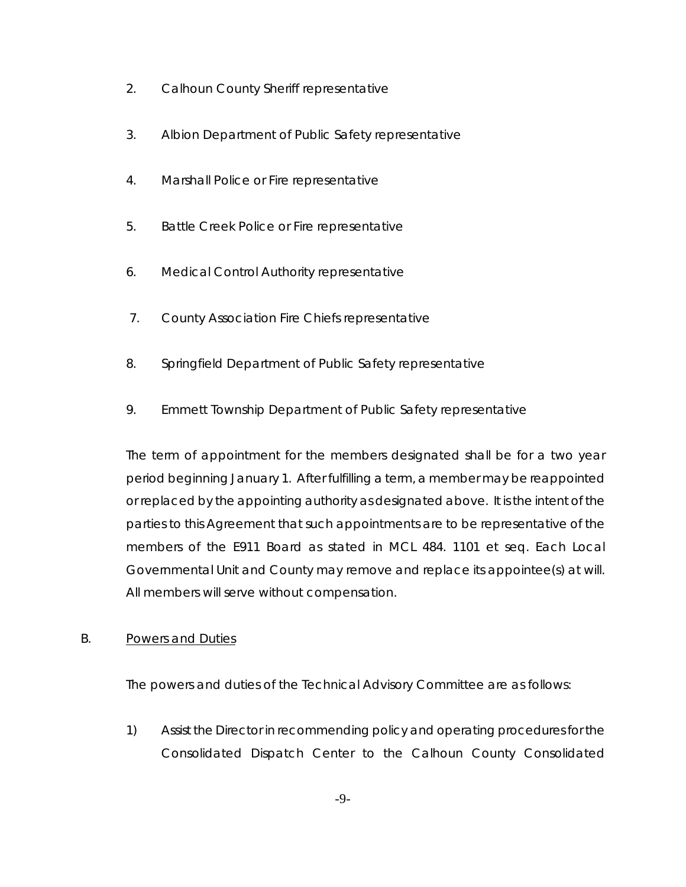- 2. Calhoun County Sheriff representative
- 3. Albion Department of Public Safety representative
- 4. Marshall Police or Fire representative
- 5. Battle Creek Police or Fire representative
- 6. Medical Control Authority representative
- 7. County Association Fire Chiefs representative
- 8. Springfield Department of Public Safety representative
- 9. Emmett Township Department of Public Safety representative

The term of appointment for the members designated shall be for a two year period beginning January 1. After fulfilling a term, a member may be reappointed or replaced by the appointing authority as designated above. It is the intent of the parties to this Agreement that such appointments are to be representative of the members of the E911 Board as stated in MCL 484. 1101 et seq. Each Local Governmental Unit and County may remove and replace its appointee(s) at will. All members will serve without compensation.

## B. Powers and Duties

The powers and duties of the Technical Advisory Committee are as follows:

1) Assist the Director in recommending policy and operating procedures for the Consolidated Dispatch Center to the Calhoun County Consolidated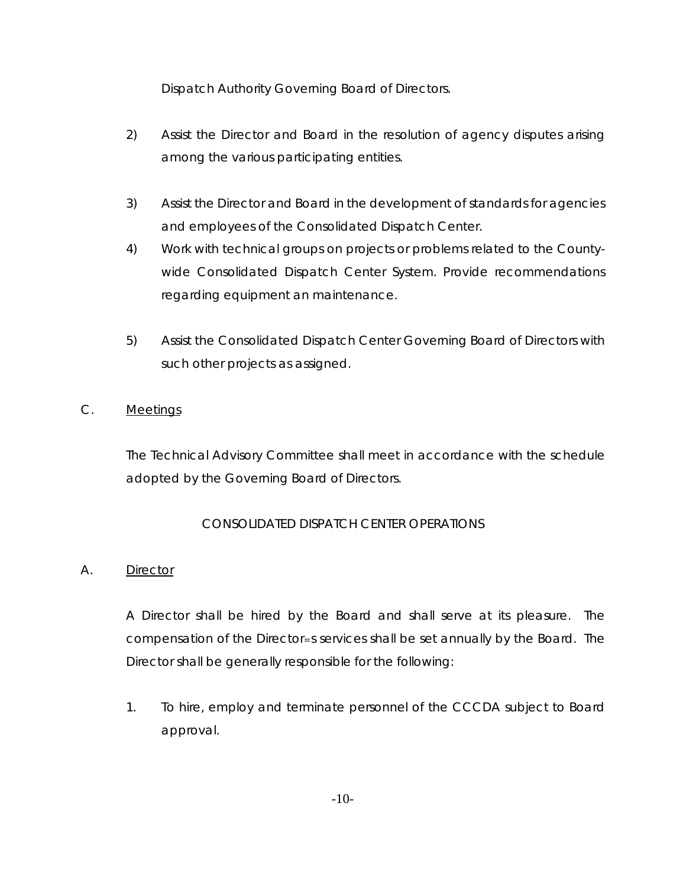Dispatch Authority Governing Board of Directors.

- 2) Assist the Director and Board in the resolution of agency disputes arising among the various participating entities.
- 3) Assist the Director and Board in the development of standards for agencies and employees of the Consolidated Dispatch Center.
- 4) Work with technical groups on projects or problems related to the Countywide Consolidated Dispatch Center System. Provide recommendations regarding equipment an maintenance.
- 5) Assist the Consolidated Dispatch Center Governing Board of Directors with such other projects as assigned.
- C. Meetings

The Technical Advisory Committee shall meet in accordance with the schedule adopted by the Governing Board of Directors.

# CONSOLIDATED DISPATCH CENTER OPERATIONS

## A. Director

A Director shall be hired by the Board and shall serve at its pleasure. The compensation of the Director=s services shall be set annually by the Board. The Director shall be generally responsible for the following:

1. To hire, employ and terminate personnel of the CCCDA subject to Board approval.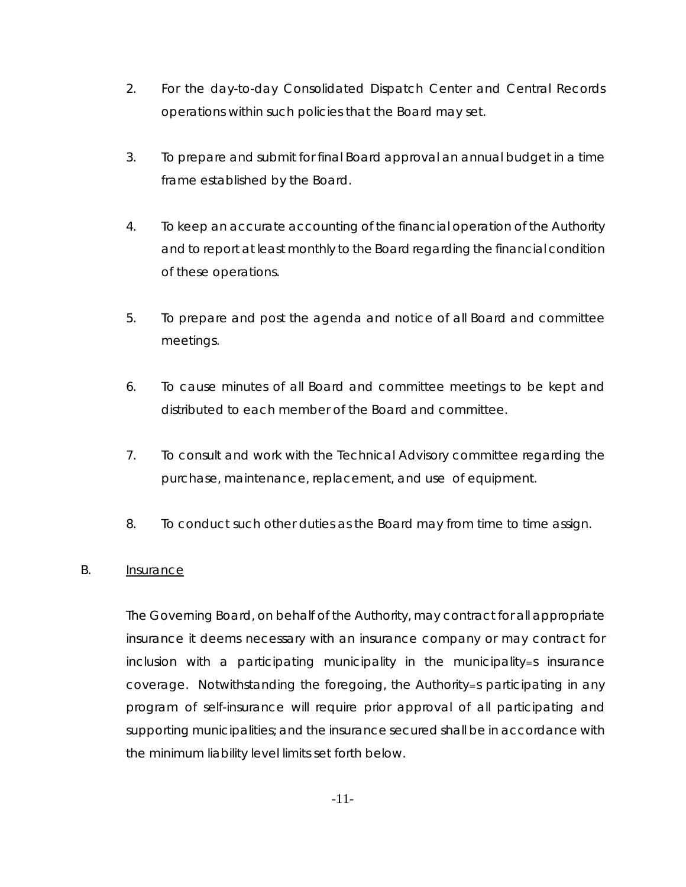- 2. For the day-to-day Consolidated Dispatch Center and Central Records operations within such policies that the Board may set.
- 3. To prepare and submit for final Board approval an annual budget in a time frame established by the Board.
- 4. To keep an accurate accounting of the financial operation of the Authority and to report at least monthly to the Board regarding the financial condition of these operations.
- 5. To prepare and post the agenda and notice of all Board and committee meetings.
- 6. To cause minutes of all Board and committee meetings to be kept and distributed to each member of the Board and committee.
- 7. To consult and work with the Technical Advisory committee regarding the purchase, maintenance, replacement, and use of equipment.
- 8. To conduct such other duties as the Board may from time to time assign.

#### B. Insurance

The Governing Board, on behalf of the Authority, may contract for all appropriate insurance it deems necessary with an insurance company or may contract for inclusion with a participating municipality in the municipality=s insurance coverage. Notwithstanding the foregoing, the Authority=s participating in any program of self-insurance will require prior approval of all participating and supporting municipalities; and the insurance secured shall be in accordance with the minimum liability level limits set forth below.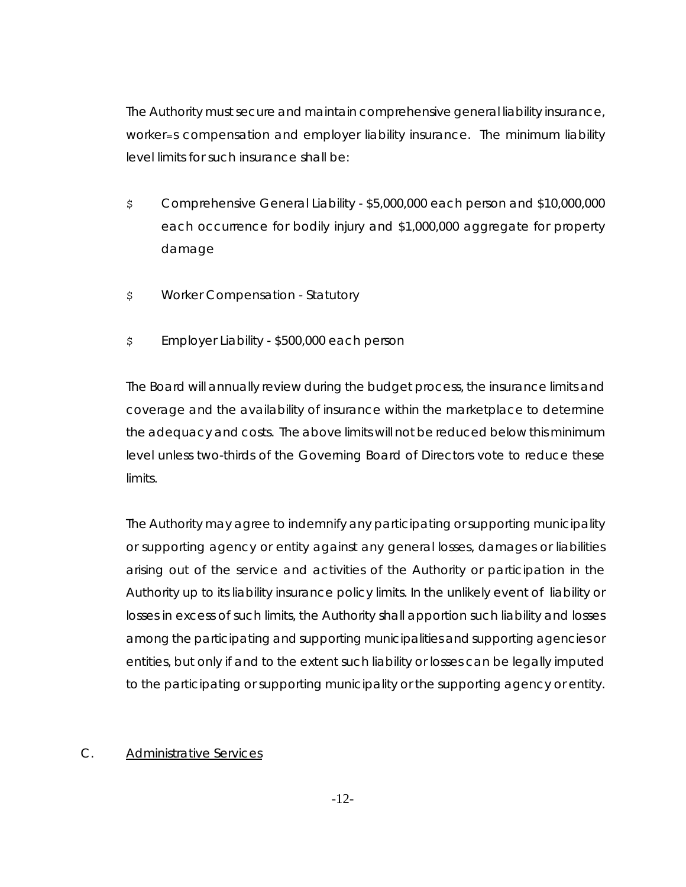The Authority must secure and maintain comprehensive general liability insurance, worker=s compensation and employer liability insurance. The minimum liability level limits for such insurance shall be:

- \$ Comprehensive General Liability \$5,000,000 each person and \$10,000,000 each occurrence for bodily injury and \$1,000,000 aggregate for property damage
- \$ Worker Compensation Statutory
- \$ Employer Liability \$500,000 each person

The Board will annually review during the budget process, the insurance limits and coverage and the availability of insurance within the marketplace to determine the adequacy and costs. The above limits will not be reduced below this minimum level unless two-thirds of the Governing Board of Directors vote to reduce these limits.

The Authority may agree to indemnify any participating or supporting municipality or supporting agency or entity against any general losses, damages or liabilities arising out of the service and activities of the Authority or participation in the Authority up to its liability insurance policy limits. In the unlikely event of liability or losses in excess of such limits, the Authority shall apportion such liability and losses among the participating and supporting municipalities and supporting agencies or entities, but only if and to the extent such liability or losses can be legally imputed to the participating or supporting municipality or the supporting agency or entity.

## C. Administrative Services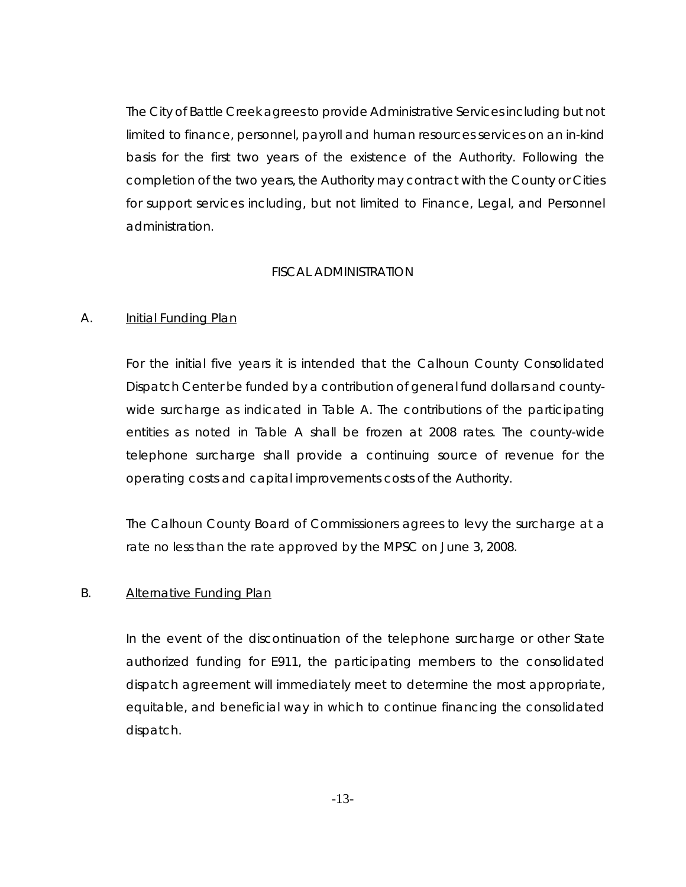The City of Battle Creek agrees to provide Administrative Services including but not limited to finance, personnel, payroll and human resources services on an in-kind basis for the first two years of the existence of the Authority. Following the completion of the two years, the Authority may contract with the County or Cities for support services including, but not limited to Finance, Legal, and Personnel administration.

#### FISCAL ADMINISTRATION

#### A. Initial Funding Plan

For the initial five years it is intended that the Calhoun County Consolidated Dispatch Center be funded by a contribution of general fund dollars and countywide surcharge as indicated in Table A. The contributions of the participating entities as noted in Table A shall be frozen at 2008 rates. The county-wide telephone surcharge shall provide a continuing source of revenue for the operating costs and capital improvements costs of the Authority.

The Calhoun County Board of Commissioners agrees to levy the surcharge at a rate no less than the rate approved by the MPSC on June 3, 2008.

#### B. Alternative Funding Plan

In the event of the discontinuation of the telephone surcharge or other State authorized funding for E911, the participating members to the consolidated dispatch agreement will immediately meet to determine the most appropriate, equitable, and beneficial way in which to continue financing the consolidated dispatch.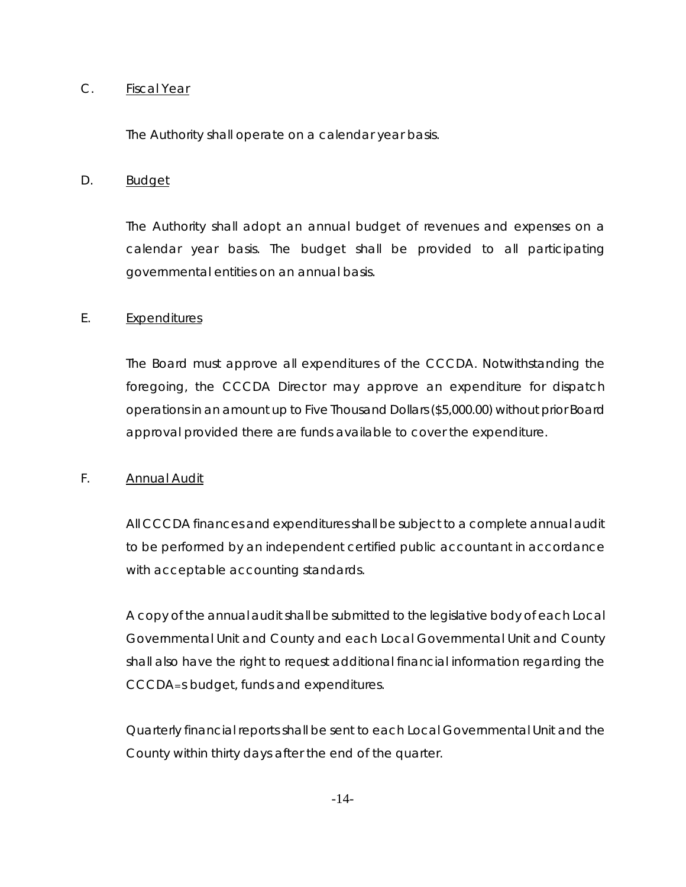#### C. Fiscal Year

The Authority shall operate on a calendar year basis.

#### D. Budget

The Authority shall adopt an annual budget of revenues and expenses on a calendar year basis. The budget shall be provided to all participating governmental entities on an annual basis.

#### E. Expenditures

The Board must approve all expenditures of the CCCDA. Notwithstanding the foregoing, the CCCDA Director may approve an expenditure for dispatch operations in an amount up to Five Thousand Dollars (\$5,000.00) without prior Board approval provided there are funds available to cover the expenditure.

## F. Annual Audit

All CCCDA finances and expenditures shall be subject to a complete annual audit to be performed by an independent certified public accountant in accordance with acceptable accounting standards.

A copy of the annual audit shall be submitted to the legislative body of each Local Governmental Unit and County and each Local Governmental Unit and County shall also have the right to request additional financial information regarding the CCCDA=s budget, funds and expenditures.

Quarterly financial reports shall be sent to each Local Governmental Unit and the County within thirty days after the end of the quarter.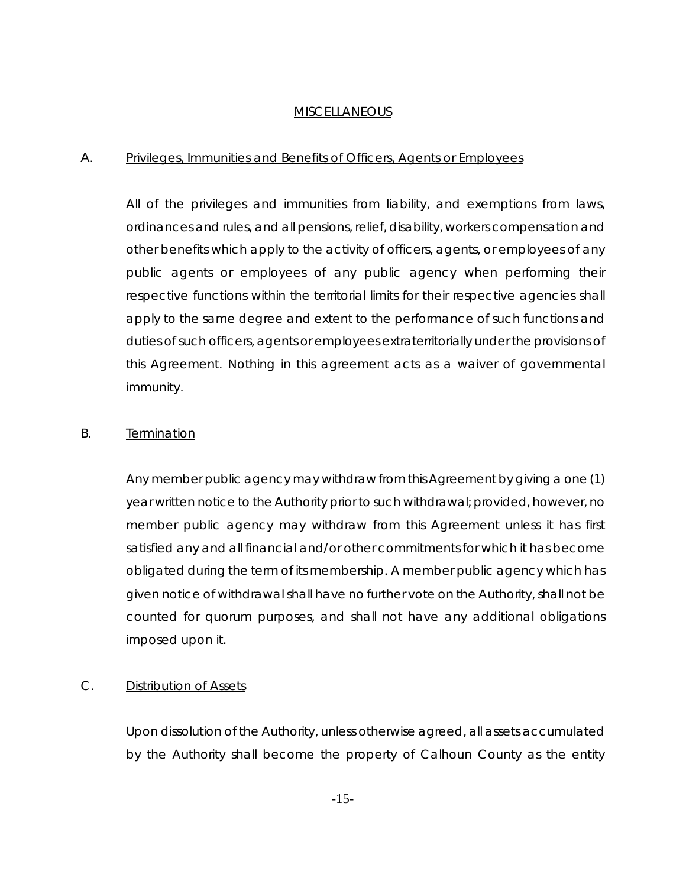#### MISCELLANEOUS

#### A. Privileges, Immunities and Benefits of Officers, Agents or Employees

All of the privileges and immunities from liability, and exemptions from laws, ordinances and rules, and all pensions, relief, disability, workers compensation and other benefits which apply to the activity of officers, agents, or employees of any public agents or employees of any public agency when performing their respective functions within the territorial limits for their respective agencies shall apply to the same degree and extent to the performance of such functions and duties of such officers, agents or employees extraterritorially under the provisions of this Agreement. Nothing in this agreement acts as a waiver of governmental immunity.

#### B. Termination

Any member public agency may withdraw from this Agreement by giving a one (1) year written notice to the Authority prior to such withdrawal; provided, however, no member public agency may withdraw from this Agreement unless it has first satisfied any and all financial and/or other commitments for which it has become obligated during the term of its membership. A member public agency which has given notice of withdrawal shall have no further vote on the Authority, shall not be counted for quorum purposes, and shall not have any additional obligations imposed upon it.

## C. Distribution of Assets

Upon dissolution of the Authority, unless otherwise agreed, all assets accumulated by the Authority shall become the property of Calhoun County as the entity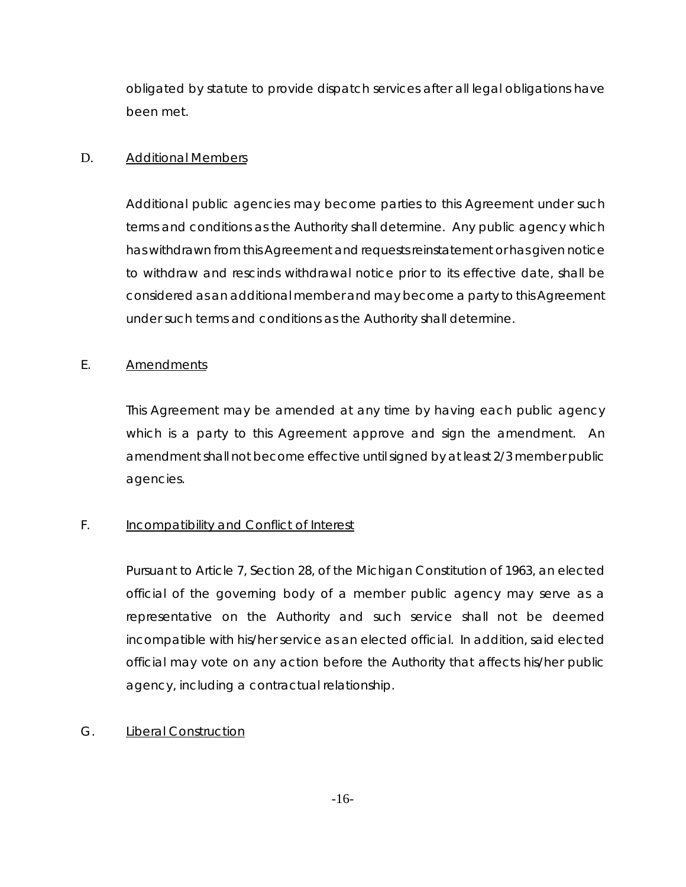obligated by statute to provide dispatch services after all legal obligations have been met.

## D. Additional Members

Additional public agencies may become parties to this Agreement under such terms and conditions as the Authority shall determine. Any public agency which has withdrawn from this Agreement and requests reinstatement or has given notice to withdraw and rescinds withdrawal notice prior to its effective date, shall be considered as an additional member and may become a party to this Agreement under such terms and conditions as the Authority shall determine.

## E. Amendments

This Agreement may be amended at any time by having each public agency which is a party to this Agreement approve and sign the amendment. An amendment shall not become effective until signed by at least 2/3 member public agencies.

# F. **Incompatibility and Conflict of Interest**

Pursuant to Article 7, Section 28, of the Michigan Constitution of 1963, an elected official of the governing body of a member public agency may serve as a representative on the Authority and such service shall not be deemed incompatible with his/her service as an elected official. In addition, said elected official may vote on any action before the Authority that affects his/her public agency, including a contractual relationship.

## G. Liberal Construction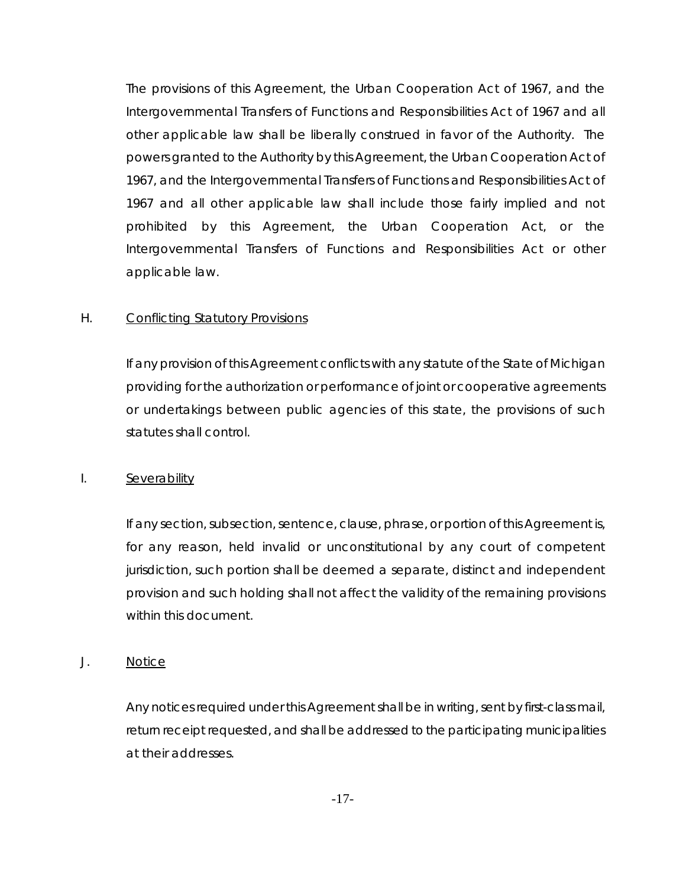The provisions of this Agreement, the Urban Cooperation Act of 1967, and the Intergovernmental Transfers of Functions and Responsibilities Act of 1967 and all other applicable law shall be liberally construed in favor of the Authority. The powers granted to the Authority by this Agreement, the Urban Cooperation Act of 1967, and the Intergovernmental Transfers of Functions and Responsibilities Act of 1967 and all other applicable law shall include those fairly implied and not prohibited by this Agreement, the Urban Cooperation Act, or the Intergovernmental Transfers of Functions and Responsibilities Act or other applicable law.

#### H. Conflicting Statutory Provisions

If any provision of this Agreement conflicts with any statute of the State of Michigan providing for the authorization or performance of joint or cooperative agreements or undertakings between public agencies of this state, the provisions of such statutes shall control.

#### I. Severability

If any section, subsection, sentence, clause, phrase, or portion of this Agreement is, for any reason, held invalid or unconstitutional by any court of competent jurisdiction, such portion shall be deemed a separate, distinct and independent provision and such holding shall not affect the validity of the remaining provisions within this document.

#### J. Notice

Any notices required under this Agreement shall be in writing, sent by first-class mail, return receipt requested, and shall be addressed to the participating municipalities at their addresses.